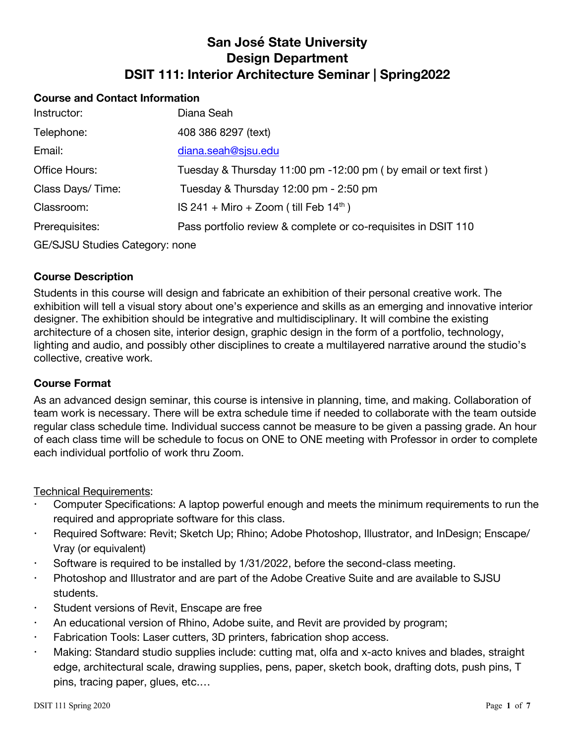# **San José State University Design Department DSIT 111: Interior Architecture Seminar | Spring2022**

### **Course and Contact Information**

| Instructor:                           | Diana Seah                                                       |
|---------------------------------------|------------------------------------------------------------------|
| Telephone:                            | 408 386 8297 (text)                                              |
| Email:                                | diana.seah@sjsu.edu                                              |
| Office Hours:                         | Tuesday & Thursday 11:00 pm -12:00 pm ( by email or text first ) |
| Class Days/Time:                      | Tuesday & Thursday 12:00 pm - 2:50 pm                            |
| Classroom:                            | IS 241 + Miro + Zoom (till Feb $14th$ )                          |
| Prerequisites:                        | Pass portfolio review & complete or co-requisites in DSIT 110    |
| <b>GE/SJSU Studies Category: none</b> |                                                                  |

#### **Course Description**

Students in this course will design and fabricate an exhibition of their personal creative work. The exhibition will tell a visual story about one's experience and skills as an emerging and innovative interior designer. The exhibition should be integrative and multidisciplinary. It will combine the existing architecture of a chosen site, interior design, graphic design in the form of a portfolio, technology, lighting and audio, and possibly other disciplines to create a multilayered narrative around the studio's collective, creative work.

#### **Course Format**

As an advanced design seminar, this course is intensive in planning, time, and making. Collaboration of team work is necessary. There will be extra schedule time if needed to collaborate with the team outside regular class schedule time. Individual success cannot be measure to be given a passing grade. An hour of each class time will be schedule to focus on ONE to ONE meeting with Professor in order to complete each individual portfolio of work thru Zoom.

Technical Requirements:

- Computer Specifications: A laptop powerful enough and meets the minimum requirements to run the required and appropriate software for this class.
- Required Software: Revit; Sketch Up; Rhino; Adobe Photoshop, Illustrator, and InDesign; Enscape/ Vray (or equivalent)
- Software is required to be installed by  $1/31/2022$ , before the second-class meeting.
- Photoshop and Illustrator and are part of the Adobe Creative Suite and are available to SJSU students.
- Student versions of Revit, Enscape are free
- An educational version of Rhino, Adobe suite, and Revit are provided by program;
- Fabrication Tools: Laser cutters, 3D printers, fabrication shop access.
- Making: Standard studio supplies include: cutting mat, olfa and x-acto knives and blades, straight edge, architectural scale, drawing supplies, pens, paper, sketch book, drafting dots, push pins, T pins, tracing paper, glues, etc.…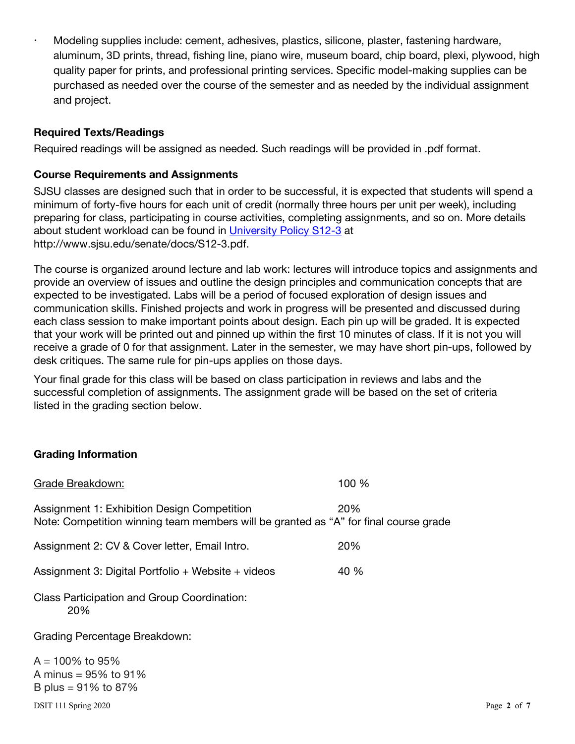Modeling supplies include: cement, adhesives, plastics, silicone, plaster, fastening hardware, aluminum, 3D prints, thread, fishing line, piano wire, museum board, chip board, plexi, plywood, high quality paper for prints, and professional printing services. Specific model-making supplies can be purchased as needed over the course of the semester and as needed by the individual assignment and project.

# **Required Texts/Readings**

Required readings will be assigned as needed. Such readings will be provided in .pdf format.

### **Course Requirements and Assignments**

SJSU classes are designed such that in order to be successful, it is expected that students will spend a minimum of forty-five hours for each unit of credit (normally three hours per unit per week), including preparing for class, participating in course activities, completing assignments, and so on. More details about student workload can be found in University Policy S12-3 at http://www.sjsu.edu/senate/docs/S12-3.pdf.

The course is organized around lecture and lab work: lectures will introduce topics and assignments and provide an overview of issues and outline the design principles and communication concepts that are expected to be investigated. Labs will be a period of focused exploration of design issues and communication skills. Finished projects and work in progress will be presented and discussed during each class session to make important points about design. Each pin up will be graded. It is expected that your work will be printed out and pinned up within the first 10 minutes of class. If it is not you will receive a grade of 0 for that assignment. Later in the semester, we may have short pin-ups, followed by desk critiques. The same rule for pin-ups applies on those days.

Your final grade for this class will be based on class participation in reviews and labs and the successful completion of assignments. The assignment grade will be based on the set of criteria listed in the grading section below.

## **Grading Information**

| Grade Breakdown:                                                                                                                    | 100 % |
|-------------------------------------------------------------------------------------------------------------------------------------|-------|
| Assignment 1: Exhibition Design Competition<br>Note: Competition winning team members will be granted as "A" for final course grade | 20%   |
| Assignment 2: CV & Cover letter, Email Intro.                                                                                       | 20%   |
| Assignment 3: Digital Portfolio + Website + videos                                                                                  | 40 %  |
| Class Participation and Group Coordination:<br>20%                                                                                  |       |
| Grading Percentage Breakdown:                                                                                                       |       |
| $A = 100\%$ to 95%<br>A minus = $95\%$ to $91\%$<br>B plus = $91\%$ to 87%                                                          |       |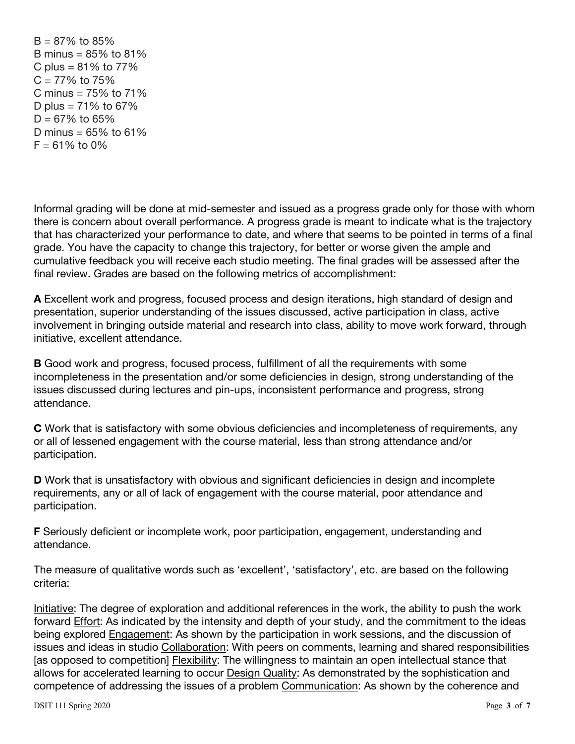$B = 87\%$  to 85% B minus =  $85\%$  to  $81\%$ C plus =  $81\%$  to  $77\%$  $C = 77\%$  to 75% C minus =  $75\%$  to  $71\%$ D plus =  $71\%$  to 67%  $D = 67\%$  to 65% D minus =  $65\%$  to  $61\%$  $F = 61\%$  to 0%

Informal grading will be done at mid-semester and issued as a progress grade only for those with whom there is concern about overall performance. A progress grade is meant to indicate what is the trajectory that has characterized your performance to date, and where that seems to be pointed in terms of a final grade. You have the capacity to change this trajectory, for better or worse given the ample and cumulative feedback you will receive each studio meeting. The final grades will be assessed after the final review. Grades are based on the following metrics of accomplishment:

**A** Excellent work and progress, focused process and design iterations, high standard of design and presentation, superior understanding of the issues discussed, active participation in class, active involvement in bringing outside material and research into class, ability to move work forward, through initiative, excellent attendance.

**B** Good work and progress, focused process, fulfillment of all the requirements with some incompleteness in the presentation and/or some deficiencies in design, strong understanding of the issues discussed during lectures and pin-ups, inconsistent performance and progress, strong attendance.

**C** Work that is satisfactory with some obvious deficiencies and incompleteness of requirements, any or all of lessened engagement with the course material, less than strong attendance and/or participation.

**D** Work that is unsatisfactory with obvious and significant deficiencies in design and incomplete requirements, any or all of lack of engagement with the course material, poor attendance and participation.

**F** Seriously deficient or incomplete work, poor participation, engagement, understanding and attendance.

The measure of qualitative words such as 'excellent', 'satisfactory', etc. are based on the following criteria:

Initiative: The degree of exploration and additional references in the work, the ability to push the work forward Effort: As indicated by the intensity and depth of your study, and the commitment to the ideas being explored Engagement: As shown by the participation in work sessions, and the discussion of issues and ideas in studio Collaboration: With peers on comments, learning and shared responsibilities [as opposed to competition] Flexibility: The willingness to maintain an open intellectual stance that allows for accelerated learning to occur Design Quality: As demonstrated by the sophistication and competence of addressing the issues of a problem Communication: As shown by the coherence and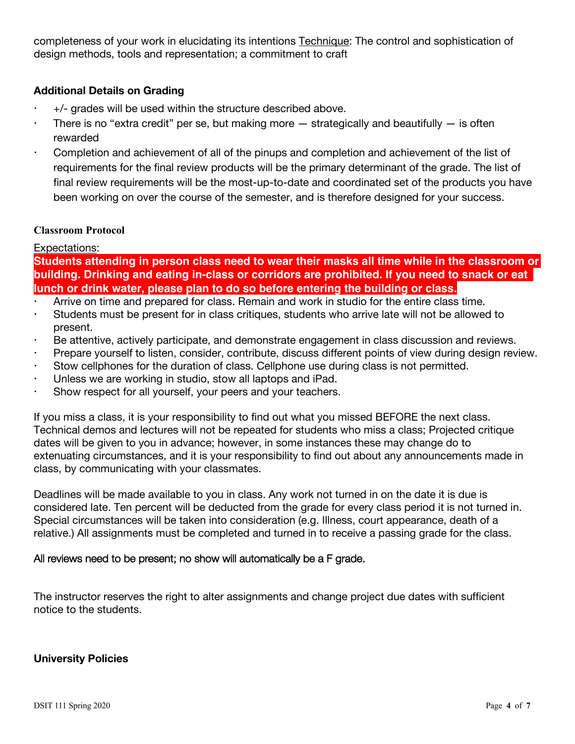completeness of your work in elucidating its intentions Technique: The control and sophistication of design methods, tools and representation; a commitment to craft

# **Additional Details on Grading**

- +/- grades will be used within the structure described above.
- There is no "extra credit" per se, but making more  $-$  strategically and beautifully  $-$  is often rewarded
- Completion and achievement of all of the pinups and completion and achievement of the list of requirements for the final review products will be the primary determinant of the grade. The list of final review requirements will be the most-up-to-date and coordinated set of the products you have been working on over the course of the semester, and is therefore designed for your success.

#### **Classroom Protocol**

## Expectations:

**Students attending in person class need to wear their masks all time while in the classroom or building. Drinking and eating in-class or corridors are prohibited. If you need to snack or eat lunch or drink water, please plan to do so before entering the building or class.**

- Arrive on time and prepared for class. Remain and work in studio for the entire class time.
- Students must be present for in class critiques, students who arrive late will not be allowed to present.
- Be attentive, actively participate, and demonstrate engagement in class discussion and reviews.
- Prepare yourself to listen, consider, contribute, discuss different points of view during design review.
- Stow cellphones for the duration of class. Cellphone use during class is not permitted.
- Unless we are working in studio, stow all laptops and iPad.
- Show respect for all yourself, your peers and your teachers.

If you miss a class, it is your responsibility to find out what you missed BEFORE the next class. Technical demos and lectures will not be repeated for students who miss a class; Projected critique dates will be given to you in advance; however, in some instances these may change do to extenuating circumstances, and it is your responsibility to find out about any announcements made in class, by communicating with your classmates.

Deadlines will be made available to you in class. Any work not turned in on the date it is due is considered late. Ten percent will be deducted from the grade for every class period it is not turned in. Special circumstances will be taken into consideration (e.g. Illness, court appearance, death of a relative.) All assignments must be completed and turned in to receive a passing grade for the class.

## All reviews need to be present; no show will automatically be a F grade.

The instructor reserves the right to alter assignments and change project due dates with sufficient notice to the students.

#### **University Policies**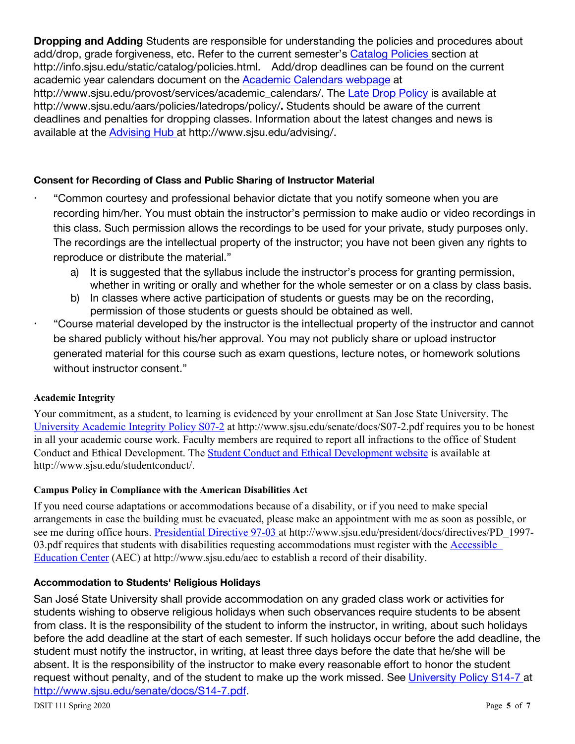**Dropping and Adding** Students are responsible for understanding the policies and procedures about add/drop, grade forgiveness, etc. Refer to the current semester's Catalog Policies section at http://info.sjsu.edu/static/catalog/policies.html. Add/drop deadlines can be found on the current academic year calendars document on the Academic Calendars webpage at http://www.sjsu.edu/provost/services/academic\_calendars/. The Late Drop Policy is available at http://www.sjsu.edu/aars/policies/latedrops/policy/**.** Students should be aware of the current deadlines and penalties for dropping classes. Information about the latest changes and news is available at the Advising Hub at http://www.sjsu.edu/advising/.

## **Consent for Recording of Class and Public Sharing of Instructor Material**

- "Common courtesy and professional behavior dictate that you notify someone when you are recording him/her. You must obtain the instructor's permission to make audio or video recordings in this class. Such permission allows the recordings to be used for your private, study purposes only. The recordings are the intellectual property of the instructor; you have not been given any rights to reproduce or distribute the material."
	- a) It is suggested that the syllabus include the instructor's process for granting permission, whether in writing or orally and whether for the whole semester or on a class by class basis.
	- b) In classes where active participation of students or guests may be on the recording, permission of those students or guests should be obtained as well.
- "Course material developed by the instructor is the intellectual property of the instructor and cannot be shared publicly without his/her approval. You may not publicly share or upload instructor generated material for this course such as exam questions, lecture notes, or homework solutions without instructor consent."

#### **Academic Integrity**

Your commitment, as a student, to learning is evidenced by your enrollment at San Jose State University. The University Academic Integrity Policy S07-2 at http://www.sjsu.edu/senate/docs/S07-2.pdf requires you to be honest in all your academic course work. Faculty members are required to report all infractions to the office of Student Conduct and Ethical Development. The Student Conduct and Ethical Development website is available at http://www.sjsu.edu/studentconduct/.

#### **Campus Policy in Compliance with the American Disabilities Act**

If you need course adaptations or accommodations because of a disability, or if you need to make special arrangements in case the building must be evacuated, please make an appointment with me as soon as possible, or see me during office hours. Presidential Directive 97-03 at http://www.sjsu.edu/president/docs/directives/PD\_1997-03.pdf requires that students with disabilities requesting accommodations must register with the Accessible Education Center (AEC) at http://www.sjsu.edu/aec to establish a record of their disability.

#### **Accommodation to Students' Religious Holidays**

San José State University shall provide accommodation on any graded class work or activities for students wishing to observe religious holidays when such observances require students to be absent from class. It is the responsibility of the student to inform the instructor, in writing, about such holidays before the add deadline at the start of each semester. If such holidays occur before the add deadline, the student must notify the instructor, in writing, at least three days before the date that he/she will be absent. It is the responsibility of the instructor to make every reasonable effort to honor the student request without penalty, and of the student to make up the work missed. See University Policy S14-7 at http://www.sjsu.edu/senate/docs/S14-7.pdf.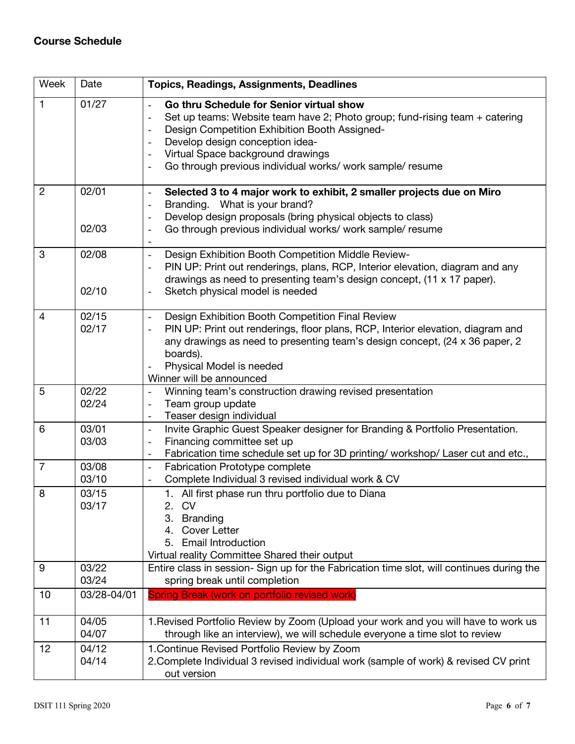# **Course Schedule**

| Week           | Date           | <b>Topics, Readings, Assignments, Deadlines</b>                                                                                                                                                                                                                                                               |
|----------------|----------------|---------------------------------------------------------------------------------------------------------------------------------------------------------------------------------------------------------------------------------------------------------------------------------------------------------------|
| $\mathbf{1}$   | 01/27          | Go thru Schedule for Senior virtual show<br>Set up teams: Website team have 2; Photo group; fund-rising team + catering<br>Design Competition Exhibition Booth Assigned-<br>Develop design conception idea-<br>Virtual Space background drawings<br>Go through previous individual works/ work sample/ resume |
| $\overline{2}$ | 02/01<br>02/03 | Selected 3 to 4 major work to exhibit, 2 smaller projects due on Miro<br>$\overline{\phantom{0}}$<br>Branding. What is your brand?<br>Develop design proposals (bring physical objects to class)<br>Go through previous individual works/ work sample/ resume<br>$\overline{a}$                               |
|                |                |                                                                                                                                                                                                                                                                                                               |
| 3              | 02/08<br>02/10 | Design Exhibition Booth Competition Middle Review-<br>$\overline{\phantom{0}}$<br>PIN UP: Print out renderings, plans, RCP, Interior elevation, diagram and any<br>drawings as need to presenting team's design concept, (11 x 17 paper).<br>Sketch physical model is needed                                  |
| $\overline{4}$ | 02/15<br>02/17 | Design Exhibition Booth Competition Final Review<br>$\blacksquare$<br>PIN UP: Print out renderings, floor plans, RCP, Interior elevation, diagram and<br>any drawings as need to presenting team's design concept, (24 x 36 paper, 2<br>boards).<br>Physical Model is needed<br>Winner will be announced      |
| 5              | 02/22<br>02/24 | Winning team's construction drawing revised presentation<br>Team group update<br>Teaser design individual<br>$\overline{\phantom{0}}$                                                                                                                                                                         |
| 6              | 03/01<br>03/03 | Invite Graphic Guest Speaker designer for Branding & Portfolio Presentation.<br>$\overline{\phantom{0}}$<br>Financing committee set up<br>-<br>Fabrication time schedule set up for 3D printing/ workshop/ Laser cut and etc.,                                                                                |
| $\overline{7}$ | 03/08<br>03/10 | <b>Fabrication Prototype complete</b><br>$\overline{\phantom{0}}$<br>Complete Individual 3 revised individual work & CV                                                                                                                                                                                       |
| 8              | 03/15<br>03/17 | 1. All first phase run thru portfolio due to Diana<br>2. CV<br><b>Branding</b><br>3.<br><b>Cover Letter</b><br>4.<br><b>Email Introduction</b><br>5.<br>Virtual reality Committee Shared their output                                                                                                         |
| 9              | 03/22<br>03/24 | Entire class in session- Sign up for the Fabrication time slot, will continues during the<br>spring break until completion                                                                                                                                                                                    |
| 10             | 03/28-04/01    | Spring Break (work on portfolio revised work)                                                                                                                                                                                                                                                                 |
| 11             | 04/05<br>04/07 | 1. Revised Portfolio Review by Zoom (Upload your work and you will have to work us<br>through like an interview), we will schedule everyone a time slot to review                                                                                                                                             |
| 12             | 04/12<br>04/14 | 1. Continue Revised Portfolio Review by Zoom<br>2. Complete Individual 3 revised individual work (sample of work) & revised CV print<br>out version                                                                                                                                                           |